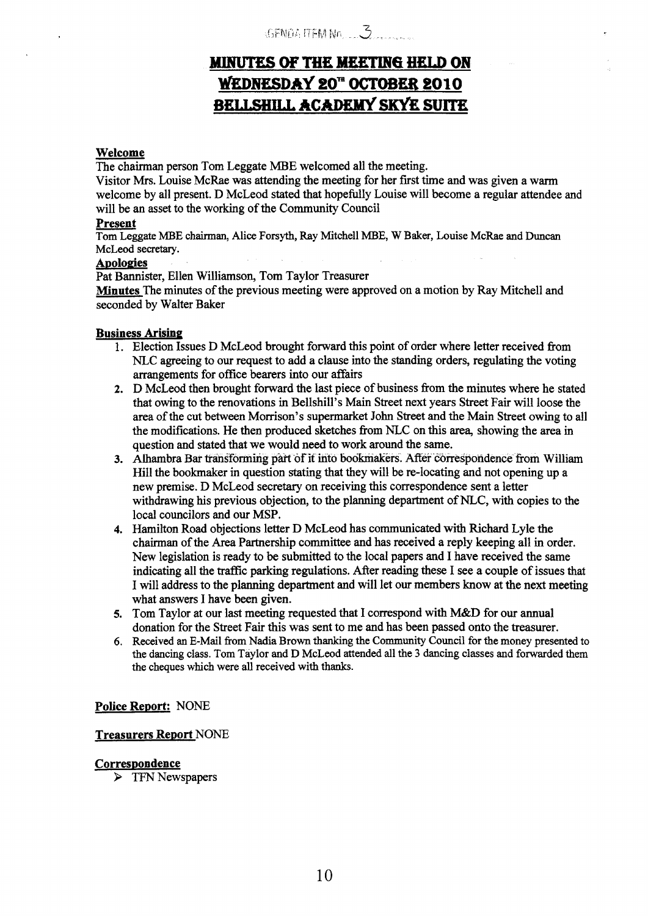# MINUTES OF THE MEETING HELD ON WEDNESDAY 20" OCTOBER 2010 **BELLSHILL ACADEMY SKYE SUITE**

### **Welcome**

The chairman person Tom Leggate **MBE** welcomed all the meeting.

Visitor Mrs. Louise McRae was attending the meeting for her first time and was given a warm welcome by all present. D McLeod stated that hopefully Louise will become a regular attendee and will be an asset to the working of the Community Council

### **Present**

Tom Leggate **MBE** chairman, Alice Forsyth, Ray Mitchell **MBE, W** Baker, Louise McRae and Duncan McLeod secretary.

## **Apologies**

Pat Bannister, Ellen Williamson, Tom Taylor Treasurer

**Minutes** The minutes of the previous meeting were approved on a motion by Ray Mitchell and seconded by Walter Baker

### **Business Arising**

- 1. Election Issues D McLeod brought forward this point of order where letter received from **NLC** agreeing to our request to add a clause into the standing orders, regulating the voting arrangements for office bearers into our affairs
- **2.**  D McLeod then brought forward the last piece of business fiom the minutes where he stated that owing to the renovations in Bellshill's Main Street next years Street Fair will loose the area of the cut between Morrison's supermarket John Street and the Main Street owing to all the modifications. He then produced sketches from NLC on this area, showing the area in question and stated that we would need to work around the same.
- 3. Alhambra Bar transforming part of it into bookmakers. After correspondence from William Hill the bookmaker in question stating that they will be re-locating and not opening up a new premise. D McLeod secretary on receiving this correspondence sent a letter withdrawing his previous objection, to the planning department of NLC, with copies to the local councilors and our **MSP.**
- **4.**  Hamilton Road objections letter D McLeod has communicated with Richard Lyle the chairman of the Area Partnership committee and has received a reply keeping all in order. New legislation is ready to be submitted to the local papers and I have received the same indicating all the traflic parking regulations. After reading these I see a couple of issues that I will address to the planning department and will let our members know at the next meeting what answers I have been given.
- **5.**  Tom Taylor at our last meeting requested that I correspond with M&D for our annual donation for the Street Fair this was sent to me and has been passed onto the treasurer.
- *6.*  Received **an E-Mail** from **Nadia** Brown thanking the Community Council for the money presented to the dancing class. Tom Taylor and **D** McLeod attended all the **3** dancing classes and forwarded them the cheques which were **all** received with thanks.

### **Police Report: NONE**

### **Treasurers Report** NONE

### **Correspondence**

 $\triangleright$  TFN Newspapers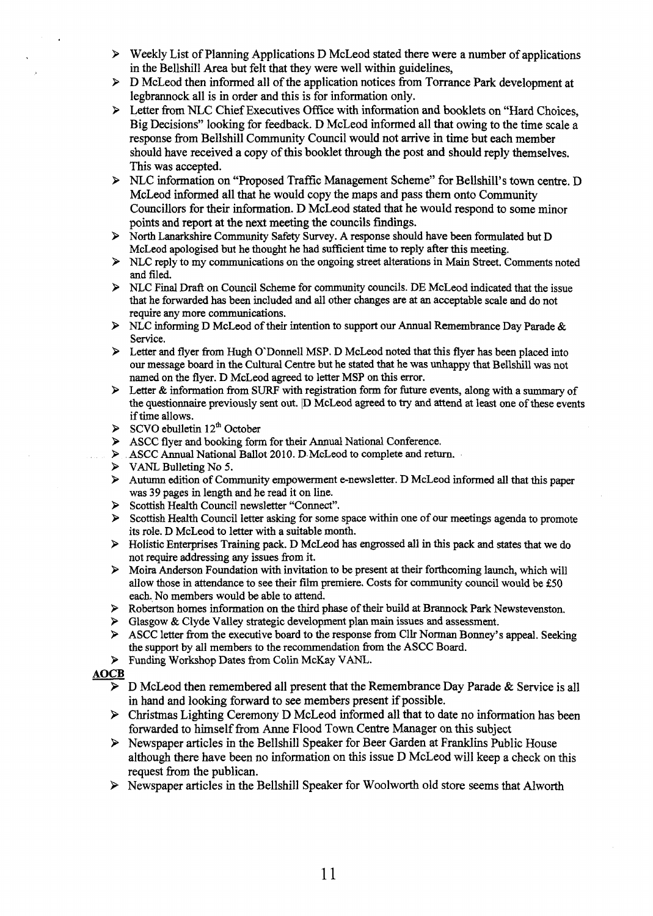- 9 Weekly List of Planning Applications D McLeod stated there were a number of applications in the Bellshill Area but felt that they were well within guidelines,
- 9 D McLeod then informed all of the application notices fiom Torrance Park development at legbrannock all is in order and this is for information only.
- > Letter from NLC Chief Executives Office with information and booklets on "Hard Choices, Big Decisions" looking for feedback. D McLeod informed all that owing to the time scale a response from Bellshill Community Council would not arrive in time but each member should have received a copy of this booklet through the post **and** should reply themselves. This was accepted.
- 9 NLC information on "Proposed Traffic Management Scheme" for Bellshill's town centre. D McLeod informed all that he would copy the maps and pass them onto Community Councillors for their information. D McLeod stated that he would respond to some minor points **and** report **at** the next meeting the councils findings.
- 9 North Lanarkshire Community Safety Survey. **A** response should have been formulated but D McLeod apologised but he thought he had sufficient time to reply after this meeting.
- NLC reply to my communications on the ongoing street alterations in Main Street. Comments noted and filed.
- 9 **NLC** Final Draft on Council Scheme for community councils. DE McLeod indicated that the issue that he forwarded **has** been included **and** all other changes are at an acceptable scale and do not require any more communications.
- 9 NLC informing D McLeod **of** their intention to support our Annual Remembrance Day Parade & Service.
- > Letter and flyer from Hugh O'Donnell MSP. D McLeod noted that this flyer has been placed into our message board in the **Cultural** Centre but he stated **that** he was unhappy that Bellshill was not named on the flyer. D McLeod agreed to letter MSP on this error.
- 9 Letter & information from **SURF** with registration form for hture events, along with a *summary* of the questionnaire previously sent out. (D McLeod agreed to **try** and attend at least one **of** these events if time allows.
- $\triangleright$  SCVO ebulletin 12<sup>th</sup> October
- 9 ASCC flyer and booking form for their **Annual** National Conference.
- ASCC Annual National Ballot 2010. D McLeod to complete and return.
- 9 **VANL** Bulleting No **5.**
- Autumn edition of Community empowerment e-newsletter. D McLeod informed all that this paper was **39** pages in length and he read it on line.
- Scottish Health Council newsletter "Connect".
- Scottish Health Council letter asking for some space within one of our meetings agenda to promote its role. D McLeod to letter with a suitable month.
- > Holistic Enterprises Training pack. D McLeod has engrossed all in this pack and states that we do not require addressing any issues from it.
- > Moira Anderson Foundation with invitation to be present at their forthcoming launch, which will allow those in attendance to see their film premiere. Costs for community council would **be \$50**  each. No members would be able to attend.
- Robertson homes information on the third phase of their build at Brannock Park Newstevenston.
- 9 Glasgow & Clyde Valley strategic development plan **main** issues and assessment.
- 9 ASCC letter from the executive board to the response **from** Cllr Norman Bonuey's appeal. Seeking the support by all members to the recommendation from the ASCC Board. → Grasgow at Cryde valley strategic development plant main issues and assessment.<br>
→ ASCC letter from the executive board to the response from Cllr Norman Bonney's appeal. Seeking<br>
the support by all members to the recomm
	- 9 Funding Workshop Dates from Colin McKay VANL.

- in hand and looking forward to see members present if possible.
- $\triangleright$  Christmas Lighting Ceremony D McLeod informed all that to date no information has been forwarded to himself from Anne Flood Town Centre Manager on this subject
- 9 Newspaper articles in the Bellshill Speaker for Beer Garden at FrankIins Public House although there have been no information on this issue D McLeod will keep a check on this request from the publican.
- $\triangleright$  Newspaper articles in the Bellshill Speaker for Woolworth old store seems that Alworth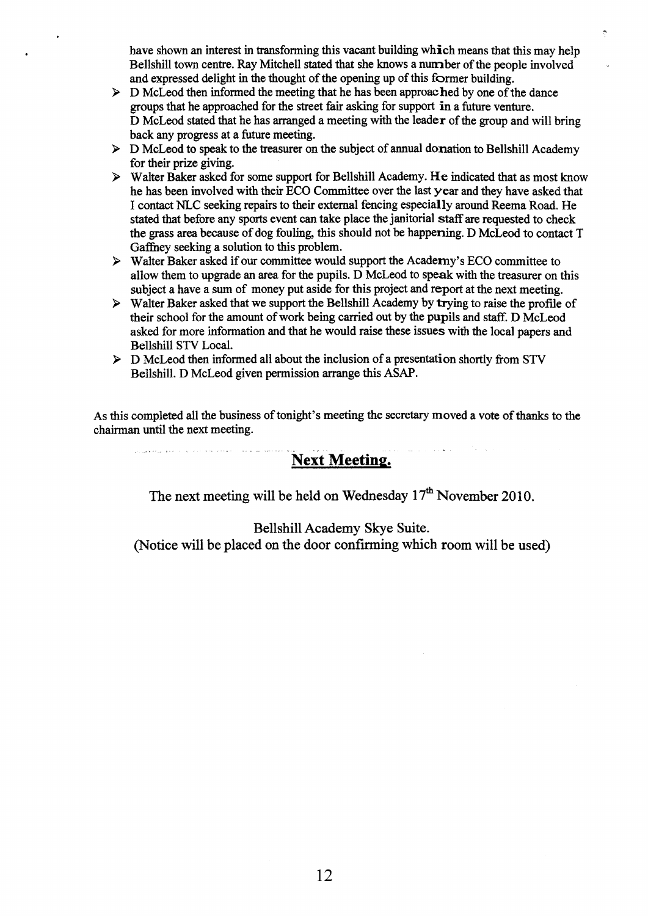have shown an interest in transforming this vacant building which means that this may help Bellshill town centre. Ray Mitchell stated that she knows a number of the people involved and expressed delight in the thought of the opening up of this former building.

 $\hat{\gamma}$ 

- $\triangleright$  D McLeod then informed the meeting that he has been approached by one of the dance groups that he approached for the street fair asking for support in a future venture. D McLeod stated that he has arranged a meeting with the leader of the group and will bring back any progress at a future meeting.
- > D McLeod to speak to the treasurer on the subject of annual donation to Bellshill Academy for their prize giving.
- > Walter Baker asked for some support for Bellshill Academy. **He** indicated that as most know he has been involved with their ECO Committee over the last year and they have asked that I contact NLC seeking repairs to their external fencing especially around Reema Road. He stated that before any sports event can take place the janitorial **staff** are requested to check the grass area because of dog fouling, this should not be happening. D McLeod to contact T Gaffhey seeking a solution to this problem.
- > Walter Baker asked if our committee would support the Academy's ECO committee to allow them to upgrade an area for the pupils. D McLeod to speak with the treasurer on this subject a have a **sum** of money put aside for this project and report at the next meeting.
- $\triangleright$  Walter Baker asked that we support the Bellshill Academy by trying to raise the profile of their school for the amount of work being carried out by the pupils **and** staff. D McLeod asked for more information and that he would raise these issues with the local papers and Bellshill **STV** Local.
- > D McLeod then informed all about the inclusion of a presentation shortly from **STV**  Bellshill. D McLeod given permission arrange this ASAP.

As this completed all the business of tonight's meeting the secretary moved a vote of thanks to the chairman until the next meeting.

## **Next Meeting.**

- .\_

The next meeting will be held on Wednesday  $17<sup>th</sup>$  November 2010.

## Bellshill Academy Skye Suite.

(Notice will be placed on the door confirming which room will be used)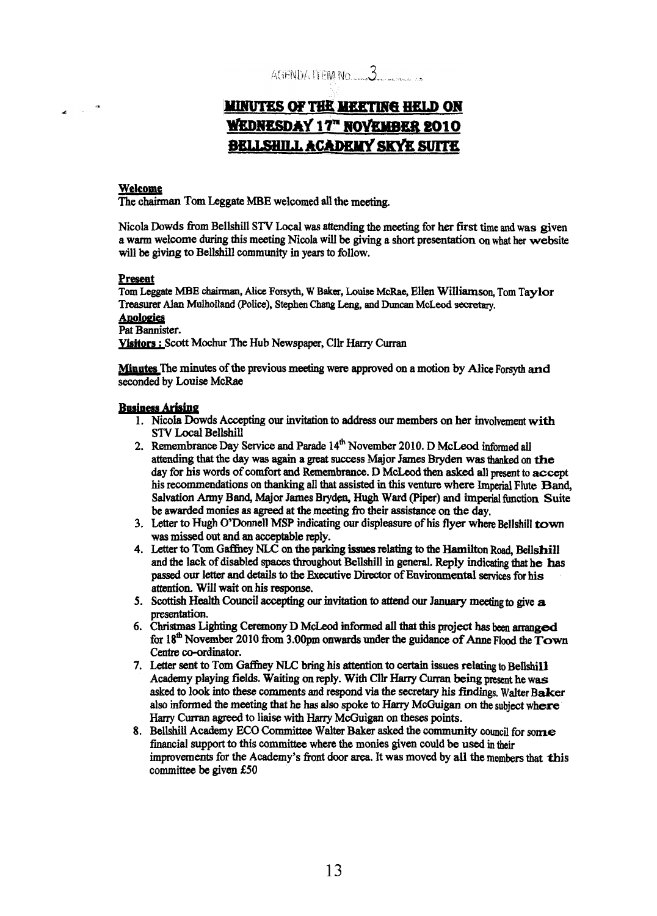AGENDA LIEM No.  $3$ 

# **MINUTES OF THE MEETING HELD ON WEDNESDAY 17" NOVEMBER 2010 BELLSHILL ACADEMY SKYE SUITE**

### **Welcome**

**The chairman Tom Leggate** MBE welcomed all the **meeting.** 

Nicola **Dowds** from Bellshill **STV** Local **was** attending the meeting for **her first time and was given a warm** welcome during **this meeting Nicola will be giving a short** presentation **on what** her **website**  will **be giving** to Bellshill **community** in **years to follow.** 

### **Preseat**

**Tom Leggate MBE** *chirmm, Mice* **Forsyth, W Balsa,** Louise **McRae, EHen** Wifliamson, **Tom** Taylor **Treasurer** *Alan* **Mulholland (Police), Stephen** Chang Leng, **and Duncan McLeod secretary.** 

## **Awldes**

Pat **Bannister.** 

**Visitors** : **Scott Mochur** The Hub Newspaper, Cllr Harry Curran

**Minutes The minutes of** the previous **meeting were** approved **on** a **motion by** *Mice* Forsyth **and seconded** by **Louise McRae** 

### **Business Arising**

- **1,** Nicola **Dowds Accepting our invitation to** address **our members** *on* her involvement with **STV Local Bellshill**
- attending **that** the **day was again a** *great* **slfccess Major James** Bryden **was** thanked on **the**  day for his **words** of **comfort** and **Remembrance. D McLeod** then **asked all present to accept**  his recommendations on thanking all that assisted in this venture where Imperial Flute Band, **Salvation Army Band, Major James Brydp, Hugh Ward (Piper) and imperial hetion Suite be** awarded monies **as agreed** at **the meeting** f'ro their **assistance** on **the day.**  2. Remembrance Day Service and Parade  $14<sup>th</sup>$  November 2010. D McLeod informed all
- **3. Letter** to Hugh O'Dormell **MSP** indicating *our* displeasure of his **flyer where Bellshill town was missed out** and **an** acceptable reply.
- **4.** L,etter *to* **Tom Gaffhey NLC** *on* the **parking relatiug** *to* **the Hamilton Road,** Bellshill **and the lack of disabled spaces throughout Bellshill in general. Reply indicating that he has** passed **our letter and details to the** Executive Director **of EnvitOnmental** *services* **for his**   $a$  attention. Will wait on his response.
- *5.* **Scottish Health** *council* accepting **OUT** invitation to **attend our January meeting to give a presentation.**
- **6. Christmas Lighting Ceremony D McLeod Wmed** all **that this project has** been **arranged**  for **I8& November 2010 ftom 3.0Opm onwards under** the **guidance of** he **Flood the Town**  Centre co-ordinator.
- **7.** Letter **sent** to **Tom** Gafhey NLC **bring his attention to** certain **issues** relating **to** Bellshill Academy playing fields. Waiting on reply. With Cllr Harry Curran being present he was **asked** *to* **look into these** comments and respond **via the** secretary **his findings. Walter Baker**  also **informed** the meeting that he **has also spoke to Hany McGuigan on** the subject **where**  *Hany* **Curran agreed** to liaise with *Hany* **McCuigan** on theses **points.**
- **8. BellshiU Academy ECO Committee Walter** Baker asked the **community** council for *sorne*  financial support to this committee where the monies given could be used in their improvements for the Academy's front door area. It was moved by all the members that this committee be given **€50**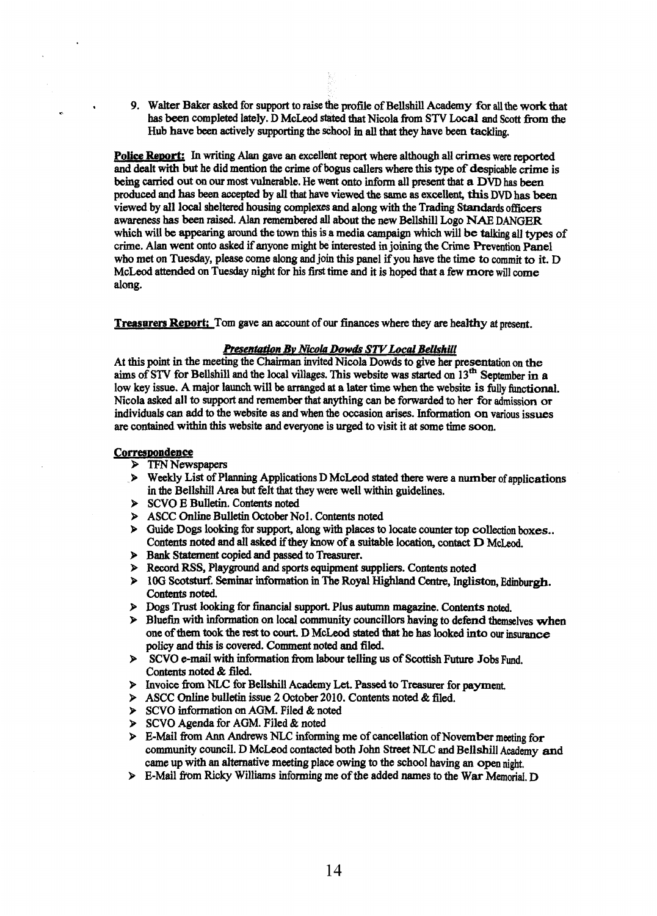*9.* Wdter **Baker asked** for **support** to raise the profile of Bellshill **Academy for** all **the** work **that**  has been completed lately. D McLeod stated that Nicola from STV Local and Scott from the **Hub** have **been** actively supporting the school **m** all **that they** have **been tackling.** 

**Police Report:** In writing Alan gave an excellent report where although all crimes were reported and dealt with **but** he did mention the crime of **bogus** callers **where this type of** despicable **crime** is **being** *&ed* out *on* **our most** vulnerable. He **went onto inform** all **present** that **a DVD** has beea produced and **has** been **accepted** by **all** that have **viewed the** *same* **as excellent, this DVD has** been viewed **by** all local sheltered housing complexes and along with the Trading **Standards officers awareness has been raised. Alan remembered all about** the *new* Bellshill **Logo NAE DANGER**  which **will** be **appearing around** the town **this is a** media **campaign** which will **be taiking all types** of crime. **Alau** went **onto asked** if anyone might be **interested** in **joiuing the Crime** Prevention Panel **who** met **on** Tuesday, please come along and **join** this **panel** if you have **the time** to commit to it. D McLeod **attended** on Tuesday night for **his first time** and it **is hoped** that **a few** more will come **along.** 

**Treasurers Report;** Tom gave an account of our finances where they are healthy at present.

#### **Presentation By Nicola Dowds STV Local Bellshill**

**At this** point in **the** meeting the **Chairman** invited Nicola Dowds to give **her presentation on** the **aims** of **STV** for Bellshill **and** the **Id** villages. This website **was** *started on* **13\* September in <sup>a</sup>** low key issue. A major launch will be arranged at a later time when the website is fully functional. Nicola **asked** all to *support* and remember **that** anything *can* be forwarded to **her** *for* **admission** or individuals *can* add to the **website as and when the occasion arises.** Information **on** various **issues are** contained within **this website** and everyone is *urged* to visit it **at Some time** soon.

#### **CorresDoadence**

**rr** 

- > TFN Newspapers
- **b** Weekly List of Planning Applications D McLeod **stated** there **were a** number of applications in the Bellshill *Area* **but** felt that they **were well within guidelines.**
- *9* **SCVO** E Bulletin. **Contents noted**
- *9* **ASCC** Online Bulletin **October Nol. Contents noted**
- $\triangleright$  Guide Dogs looking for support, along with places to locate counter top collection boxes.. **Contents noted and all asked if they know of a suitable location, contact D McLeod.**
- **9 Bank Statement copied and passed to Treasurer.**
- **9 Record RSS,** Playground **and sports** equipment suppliers. **Contents noted**
- **9 10G Scotsturf. Seminar information in The Royal Highland Centre, Ingliston, Edinburgh. Contents noted.**
- **P Dogs Trust looking** for **hancial** support. Plus **autumn magazine. Contents noted.**
- **9 Bluefin with information on local community councillors having to defend themselves when one** of them **took** the **rest** to **court. D** McLeod *stated* **that** he **has** looked **into our** insurance **policy and tbis** is covered. Comment **noted and** filed.
- **P** SCVO **e-mail with information from labour telling us of Scottish Future Jobs Fund. Contents** noted & *filed.*
- **9 Invoice from NLC for Bellshill Academy Let. Passed to Treasurer for payment.**
- 9 **ASCC online** bulletin issue **2 October 2010. Contents noted** *62* **filed.**
- *9* **SCVO infornation** *on* **AGM.** Filed & noted
- *9* **SCVO** Agenda for **AGM. Filed** & noted
- **9 E-Mail from Ann Andrews NLC informing me of cancellation of November meeting for community** council. D **McLeod** contacted both **John Street** Nu= and Bellshill **Academy** md came up with **an** alternative **meeting** place **owing** to the school having **an open** night.
- $\triangleright$  **E-Mail from Ricky Williams informing me of the added names to the War Memorial. D**